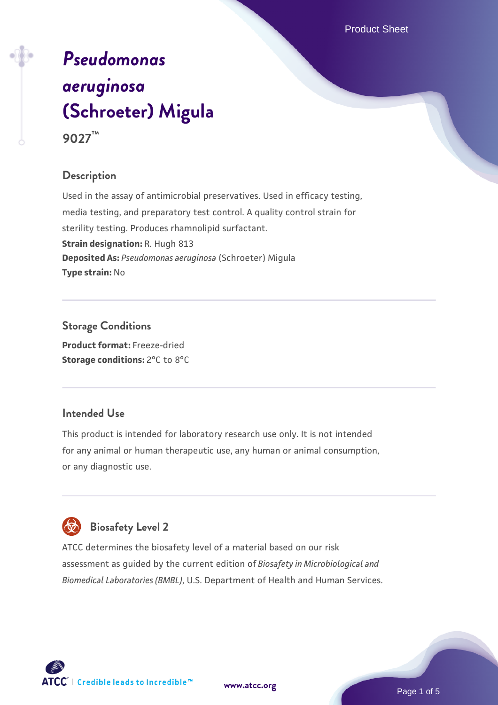# *[Pseudomonas](https://www.atcc.org/products/9027) [aeruginosa](https://www.atcc.org/products/9027)* **[\(Schroeter\) Migula](https://www.atcc.org/products/9027) 9027™**

# **Description**

Used in the assay of antimicrobial preservatives. Used in efficacy testing, media testing, and preparatory test control. A quality control strain for sterility testing. Produces rhamnolipid surfactant. **Strain designation:** R. Hugh 813 **Deposited As:** *Pseudomonas aeruginosa* (Schroeter) Migula **Type strain:** No

**Storage Conditions Product format:** Freeze-dried **Storage conditions:** 2°C to 8°C

# **Intended Use**

This product is intended for laboratory research use only. It is not intended for any animal or human therapeutic use, any human or animal consumption, or any diagnostic use.



ATCC determines the biosafety level of a material based on our risk assessment as guided by the current edition of *Biosafety in Microbiological and Biomedical Laboratories (BMBL)*, U.S. Department of Health and Human Services.

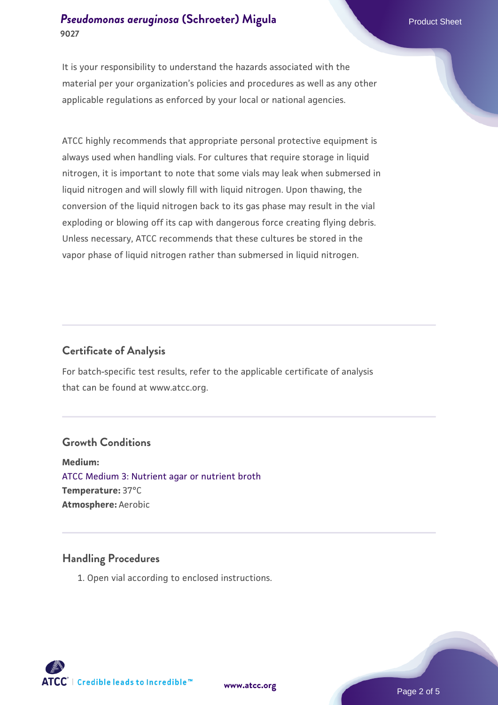## **[Pseudomonas aeruginosa](https://www.atcc.org/products/9027) [\(Schroeter\) Migula](https://www.atcc.org/products/9027)** Product Sheet **9027**

It is your responsibility to understand the hazards associated with the material per your organization's policies and procedures as well as any other applicable regulations as enforced by your local or national agencies.

ATCC highly recommends that appropriate personal protective equipment is always used when handling vials. For cultures that require storage in liquid nitrogen, it is important to note that some vials may leak when submersed in liquid nitrogen and will slowly fill with liquid nitrogen. Upon thawing, the conversion of the liquid nitrogen back to its gas phase may result in the vial exploding or blowing off its cap with dangerous force creating flying debris. Unless necessary, ATCC recommends that these cultures be stored in the vapor phase of liquid nitrogen rather than submersed in liquid nitrogen.

# **Certificate of Analysis**

For batch-specific test results, refer to the applicable certificate of analysis that can be found at www.atcc.org.

# **Growth Conditions**

**Medium:**  [ATCC Medium 3: Nutrient agar or nutrient broth](https://www.atcc.org/-/media/product-assets/documents/microbial-media-formulations/3/atcc-medium-3.pdf?rev=7510837507e64d849c62a46b5b2197a1) **Temperature:** 37°C **Atmosphere:** Aerobic

### **Handling Procedures**

1. Open vial according to enclosed instructions.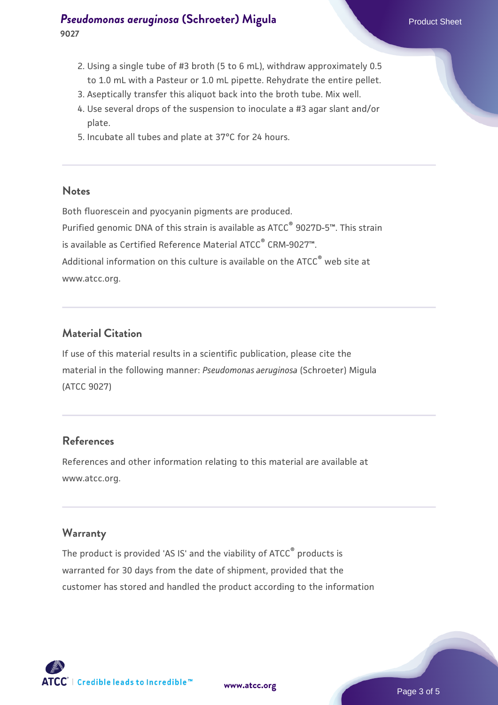# **[Pseudomonas aeruginosa](https://www.atcc.org/products/9027) [\(Schroeter\) Migula](https://www.atcc.org/products/9027)** Product Sheet **9027**

- 2. Using a single tube of #3 broth (5 to 6 mL), withdraw approximately 0.5 to 1.0 mL with a Pasteur or 1.0 mL pipette. Rehydrate the entire pellet.
- 3. Aseptically transfer this aliquot back into the broth tube. Mix well.
- 4. Use several drops of the suspension to inoculate a #3 agar slant and/or plate.
- 5. Incubate all tubes and plate at 37°C for 24 hours.

#### **Notes**

Both fluorescein and pyocyanin pigments are produced. Purified genomic DNA of this strain is available as ATCC® 9027D-5™. This strain is available as Certified Reference Material ATCC® CRM-9027™. Additional information on this culture is available on the ATCC<sup>®</sup> web site at www.atcc.org.

## **Material Citation**

If use of this material results in a scientific publication, please cite the material in the following manner: *Pseudomonas aeruginosa* (Schroeter) Migula (ATCC 9027)

# **References**

References and other information relating to this material are available at www.atcc.org.

### **Warranty**

The product is provided 'AS IS' and the viability of ATCC® products is warranted for 30 days from the date of shipment, provided that the customer has stored and handled the product according to the information

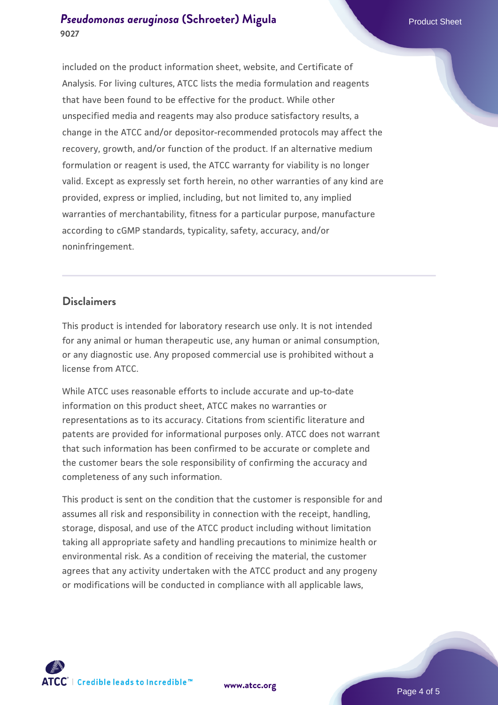## **[Pseudomonas aeruginosa](https://www.atcc.org/products/9027) [\(Schroeter\) Migula](https://www.atcc.org/products/9027)** Product Sheet **9027**

included on the product information sheet, website, and Certificate of Analysis. For living cultures, ATCC lists the media formulation and reagents that have been found to be effective for the product. While other unspecified media and reagents may also produce satisfactory results, a change in the ATCC and/or depositor-recommended protocols may affect the recovery, growth, and/or function of the product. If an alternative medium formulation or reagent is used, the ATCC warranty for viability is no longer valid. Except as expressly set forth herein, no other warranties of any kind are provided, express or implied, including, but not limited to, any implied warranties of merchantability, fitness for a particular purpose, manufacture according to cGMP standards, typicality, safety, accuracy, and/or noninfringement.

### **Disclaimers**

This product is intended for laboratory research use only. It is not intended for any animal or human therapeutic use, any human or animal consumption, or any diagnostic use. Any proposed commercial use is prohibited without a license from ATCC.

While ATCC uses reasonable efforts to include accurate and up-to-date information on this product sheet, ATCC makes no warranties or representations as to its accuracy. Citations from scientific literature and patents are provided for informational purposes only. ATCC does not warrant that such information has been confirmed to be accurate or complete and the customer bears the sole responsibility of confirming the accuracy and completeness of any such information.

This product is sent on the condition that the customer is responsible for and assumes all risk and responsibility in connection with the receipt, handling, storage, disposal, and use of the ATCC product including without limitation taking all appropriate safety and handling precautions to minimize health or environmental risk. As a condition of receiving the material, the customer agrees that any activity undertaken with the ATCC product and any progeny or modifications will be conducted in compliance with all applicable laws,



**[www.atcc.org](http://www.atcc.org)**

Page 4 of 5